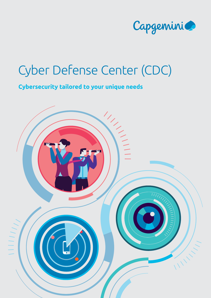

# Cyber Defense Center (CDC)

### **Cybersecurity tailored to your unique needs**

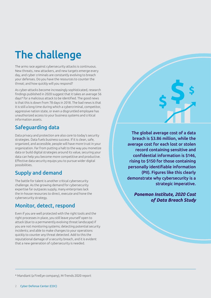# The challenge

The arms race against cybersecurity attacks is continuous. New threats, new attackers, and new targets emerge every day, and cyber criminals are constantly evolving to breach your defenses. Do you have the resources to counter the threat; and how quickly will you respond?

As cyber-attacks become increasingly sophisticated, research findings published in 2020 suggest that it takes an average 56 days\* for a malicious attack to be identified. The good news is that this is down from 78 days in 2018. The bad news is that it is still a long time during which a cybercriminal, competitor, aggressive nation state, or even a disgruntled employee has unauthorized access to your business systems and critical information assets.

### Safeguarding data

Data privacy and protection are also core to today's security strategies. Data fuels business success. If it is clean, safe, organized, and accessible, people will have more trust in your organization. Far from putting a halt to the way you monetize data or build digital strategies around its value, securing your data can help you become more competitive and productive. Effective data security equips you to pursue wider digital possibilities.

### Supply and demand

The battle for talent is another critical cybersecurity challenge. As the growing demand for cybersecurity expertise far outpaces supply, many enterprises lack the in-house resources to direct, execute and hone the cybersecurity strategy.

#### Monitor, detect, respond

Even if you are well protected with the right tools and the right processes in place, you still leave yourself open to attack (due to a permanently evolving threat landscape) if you are not monitoring systems; detecting potential security incidents; and able to make changes to your operations quickly to counter any threat detected. Add to this the reputational damage of a security breach, and it is evident that a new generation of cybersecurity is needed.

The global average cost of a data breach is \$3.86 million, while the average cost for each lost or stolen record containing sensitive and confidential information is \$146, rising to \$150 for those containing personally identifiable information (PII). Figures like this clearly demonstrate why cybersecurity is a strategic imperative.

> *Ponemon Institute, 2020 Cost of Data Breach Study*

\* Mandiant (a FireEye company), M-Trends 2020 report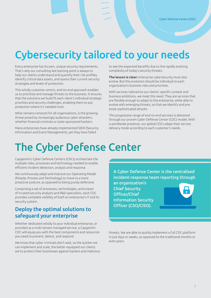### Cybersecurity tailored to your needs

Every enterprise has its own, unique security requirements. That's why our consulting-led starting point is always to help our clients understand and quantify their risk profiles, identify critical data assets, and assess their current security strategies and levels of protection.

This wholly customer-centric, end-to-end approach enables us to prioritize and manage threats to the business. It ensures that the solutions we build fit each client's individual strategic priorities and security challenges, enabling them to put protection where it's needed most.

What remains constant for all organizations, is the growing threat posed by increasingly audacious cyber attackers, whether financial criminals or state-sponsored hackers.

Many enterprises have already implemented SIEM (Security Information and Event Management), yet they have failed

to see the expected benefits due to the rapidly evolving complexity of today's security threats.

**The lesson is clear:** enterprise cybersecurity must also evolve. But this evolution should be individual to each organization's business risks and priorities.

With services tailored to our clients' specific context and business ambitions, we meet this need. They are services that are flexible enough to adapt to the enterprise, while able to evolve with emerging threats, so that we identify and preempt sophisticated attacks.

This progressive range of end-to-end services is delivered through our proven Cyber Defense Center (CDC) model. With a worldwide presence, our global CDCs adapt their service delivery mode according to each customer's needs.

### The Cyber Defense Center

Capgemini's Cyber Defense Centers (CDCs) orchestrate the multiple roles, processes and technology needed to enable efficient incident detection, analysis and response.

We continuously adapt and improve our Operating Model (People, Process and Technology) to move to a more proactive posture, as opposed to being purely defensive.

Comprising a set of processes, technologies, and a team of trusted security analysts and R&D specialists, each CDC provides complete visibility of both an enterprise's IT and its security system.

#### Deploy the optimal solutions to safeguard your enterprise

Whether dedicated wholly to your individual enterprise, or provided as a multi-tenant managed service, a Capgemini CDC will equip you with the best components and resources you need to prevent, detect, and respond.

We know that cyber criminals don't wait, so the quicker we can implement and scale, the better equipped our clients are to protect their businesses against hackers and malicious A Cyber Defense Center is the centralized incident-response team reporting through

an organization's Chief Security Officer/Chief Information Security Officer (CSO/CISO).



threats. We are able to quickly implement a full CDC platform in just days or weeks, as opposed to the traditional months or even years.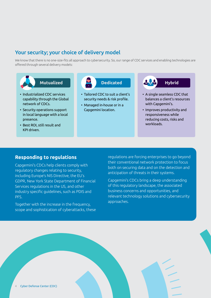#### Your security; your choice of delivery model

We know that there is no one-size-fits all approach to cybersecurity. So, our range of CDC services and enabling technologies are offered through several delivery models:



- Industrialized CDC services capability through the Global network of CDCs.
- Security operations support in local language with a local presence.
- Best ROI, still result and KPI driven.

- Tailored CDC to suit a client's security needs & risk profile.
- Managed in-house or in a Capgemini location.



- A single seamless CDC that balances a client's resources with Capgemini's.
- Improves productivity and responsiveness while reducing costs, risks and workloads.

#### **Responding to regulations**

Capgemini's CDCs help clients comply with regulatory changes relating to security, including Europe's NIS Directive, the EU's GDPR, New York State Department of Financial Services regulations in the US, and other industry specific guidelines, such as PDIS and PFS.

Together with the increase in the frequency, scope and sophistication of cyberattacks, these regulations are forcing enterprises to go beyond their conventional network protection to focus both on securing data and on the detection and anticipation of threats in their systems.

Capgemini's CDCs bring a deep understanding of this regulatory landscape, the associated business concerns and opportunities, and relevant technology solutions and cybersecurity approaches.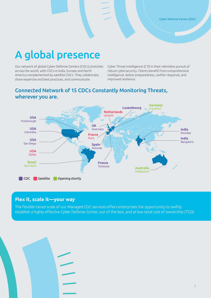### A global presence

Our network of global Cyber Defense Centers (CDCs) stretches across the world, with CDCs in India, Europe and North America complemented by satellite CDCs. They collaborate, share expertise and best practices, and communicate

Cyber Threat Intelligence (CTI) in their relentless pursuit of robust cybersecurity. Clients benefit from comprehensive intelligence, better preparedness, swifter response, and improved resilience.

#### Connected Network of 15 CDCs Constantly Monitoring Threats, wherever you are.



#### **Flex it, scale it—your way**

The flexible tiered scale of our Managed CDC services offers enterprises the opportunity to swiftly establish a highly effective Cyber Defense Center, out of the box, and at low total cost of ownership (TCO).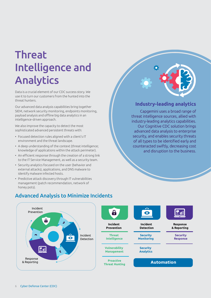# **Threat** Intelligence and Analytics

Data is a crucial element of our CDC success story. We use it to turn our customers from the hunted into the threat hunters.

Our advanced data analysis capabilities bring together SIEM, network security monitoring, endpoints monitoring, payload analysis and offline big data analytics in an intelligence-driven approach.

We also improve the capacity to detect the most sophisticated advanced persistent threats with:

- Focused detection rules aligned with a client's IT environment and the threat landscape.
- A deep understanding of the context (threat intelligence; knowledge of applications within the attack perimeter).
- An efficient response through the creation of a strong link to the IT Service Management, as well as a security team.
- Security analytics focused on the user (behavior and external attacks), applications, and DNS malware to identify malware infected hosts.
- Predictive attack discovery through IT vulnerabilities management (patch recommendation, network of honey pots).

**Industry-leading analytics**

Capgemini uses a broad range of threat intelligence sources, allied with industry-leading analytics capabilities. Our Cognitive CDC solution brings advanced data analysis to enterprise security, and enables security threats of all types to be identified early and counteracted swiftly, decreasing cost and disruption to the business.

> **Security Response**

**Response & Reporting**

 $\mathbf{P}$ 



#### Advanced Analysis to Minimize Incidents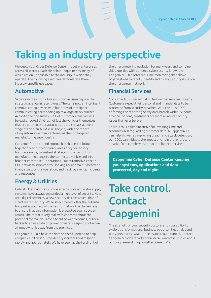### Taking an industry perspective

We deploy our Cyber Defense Center model in enterprises across all sectors. Each client has unique needs, many of which are only applicable to the industry in which they operate. The following examples demonstrate three industry-specific use cases:

#### Automotive

Security in the automotive industry has risen high on the strategic agenda in recent years. The car is now an intelligent, communicating device, with hundreds of intelligent, communicating parts adding up to a large attack surface. According to one survey, 62% of customers fear cars will be easily hacked. And it's not just the vehicles themselves that are open to cyber-attack: there are threats at every stage of the plan-build-run lifecycle, with one report citing automotive manufacturers as the top targeted manufacturing sub-industry.

Capgemini's end-to-end approach in this sector brings together previously disparate areas of cybersecurity focus in a single, consistent strategy. This extends from manufacturing plants to the connected vehicle and into broader enterprise IT operations. Our automotive-centric CDC acts as mission control, looking for anomalous behavior in any aspect of the operation, and tracking events, incidents, and responses.

#### Energy & Utilities

Critical infrastructures, such as energy grids and water supply systems, have always demanded a high-level of security. Now, with digital advances, a new security risk has arisen: that of smart meter security. While smart meters offer the potential for greater accuracy of usage information, the challenge is to ensure that this information is protected against cyberattack. The threat is very real, with concerns about the potential for malicious code to cut power to homes, or for a hacker to access data on power or water usage to spot when a homeowner is away from the premises.

Capgemini's CDCs have the data science expertise to help companies in this industry identify incidents and respond rapidly and appropriately. We have been at the forefront of the smart metering evolution for many years and combine this expertise with our deep cybersecurity knowhow. Capgemini CDCs offer real-time monitoring that allows organizations to rapidly identify and fix any security issues on the smart meter network.

#### Financial Services

Consumer trust is essential in the financial services industry. Customers expect their personal and financial data to be protected from security breaches. With the EU's GDPR enforcing the reporting of any data breach within 72 hours after an incident, consumers are more aware of security issues than ever before.

There is thus a clear incentive for investing time and resources in safeguarding customer data. A Capgemini CDC can help. As well as improving breach and attack detection, our CDCs can mitigate the impact and help prevent future attacks, for example with threat intelligence services.

**Capgemini Cyber Defense Center keeping your systems, applications and data protected, day and night.**

# Take control. **Contact** Capgemini

The strength of your security posture, and your ability to exploit transformational business opportunities all depend on cybersecurity. Grab the reins and regain control. Contact Capgemini today for additional details and case studies about our unique—and uniquely effective—CDCs.